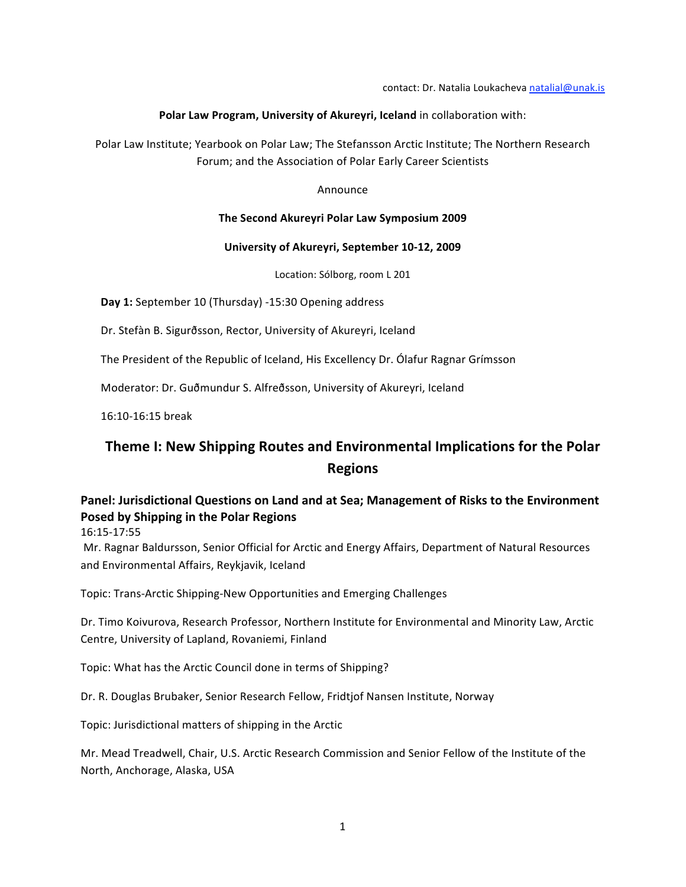#### Polar Law Program, University of Akureyri, Iceland in collaboration with:

Polar Law Institute; Yearbook on Polar Law; The Stefansson Arctic Institute; The Northern Research Forum;
and
the
Association
of
Polar
Early
Career
Scientists

#### Announce

#### **The
Second
Akureyri
Polar
Law
Symposium
2009**

#### **University
of
Akureyri,
September
10‐12,
2009**

Location:
Sólborg,
room
L
201

Day 1: September 10 (Thursday) -15:30 Opening address

Dr.
Stefàn
B.
Sigurðsson,
Rector,
University
of
Akureyri,
Iceland

The President of the Republic of Iceland, His Excellency Dr. Ólafur Ragnar Grímsson

Moderator: Dr. Guðmundur S. Alfreðsson, University of Akureyri, Iceland

16:10‐16:15
break

# **Theme
I:
New
Shipping
Routes
and
Environmental
Implications
for
the
Polar Regions**

## Panel: Jurisdictional Questions on Land and at Sea; Management of Risks to the Environment **Posed
by
Shipping
in
the
Polar
Regions**

16:15‐17:55

Mr.
Ragnar
Baldursson,
Senior
Official
for
Arctic
and
Energy
Affairs,
Department
of
Natural
Resources and
Environmental
Affairs,
Reykjavik,
Iceland

Topic:
Trans‐Arctic
Shipping‐New
Opportunities
and
Emerging
Challenges

Dr.
Timo
Koivurova,
Research
Professor,
Northern
Institute
for
Environmental
and
Minority
Law,
Arctic Centre,
University
of
Lapland,
Rovaniemi,
Finland

Topic:
What
has
the
Arctic
Council
done
in
terms
of
Shipping?

Dr.
R.
Douglas
Brubaker,
Senior
Research
Fellow,
Fridtjof
Nansen
Institute,
Norway

Topic:
Jurisdictional
matters
of
shipping
in
the
Arctic

Mr. Mead Treadwell, Chair, U.S. Arctic Research Commission and Senior Fellow of the Institute of the North,
Anchorage,
Alaska,
USA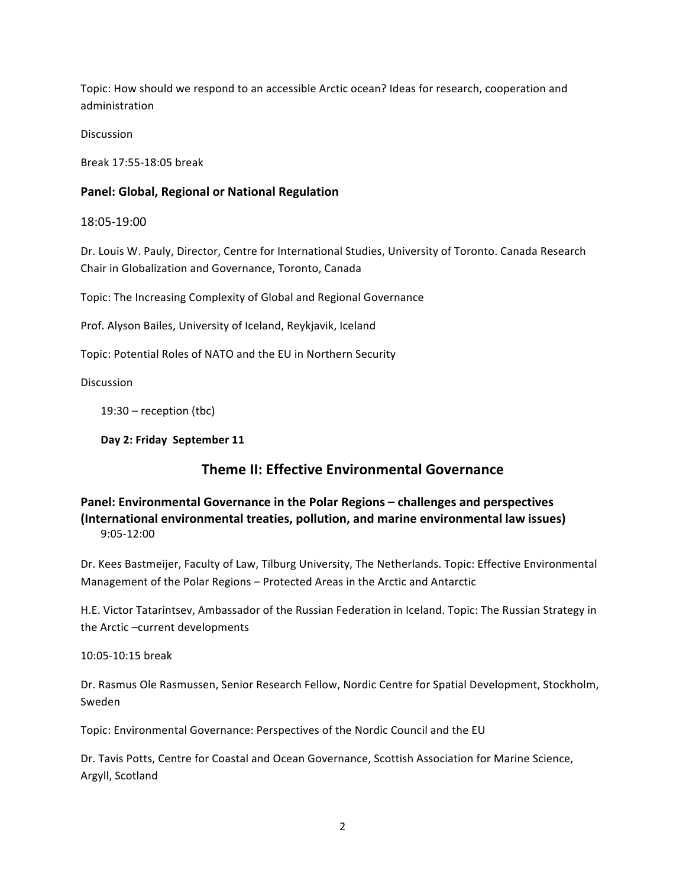Topic:
How
should
we
respond
to
an
accessible
Arctic
ocean?
Ideas
for
research,
cooperation
and administration

Discussion

Break
17:55‐18:05
break

#### **Panel:
Global,
Regional
or
National
Regulation**

18:05‐19:00

Dr. Louis W. Pauly, Director, Centre for International Studies, University of Toronto. Canada Research Chair
in
Globalization
and
Governance,
Toronto,
Canada

Topic:
The
Increasing
Complexity
of
Global
and
Regional
Governance

Prof.
Alyson
Bailes,
University
of
Iceland,
Reykjavik,
Iceland

Topic:
Potential
Roles
of
NATO
and
the
EU
in
Northern
Security

**Discussion** 

19:30 –
reception
(tbc)

Day 2: Friday September 11

### **Theme
II:
Effective
Environmental
Governance**

**Panel:
Environmental
Governance
in
the
Polar
Regions
–
challenges
and
perspectives** (International environmental treaties, pollution, and marine environmental law issues) 9:05‐12:00

Dr. Kees Bastmeijer, Faculty of Law, Tilburg University, The Netherlands. Topic: Effective Environmental Management
of
the
Polar
Regions
–
Protected
Areas
in
the
Arctic
and
Antarctic

H.E. Victor Tatarintsev, Ambassador of the Russian Federation in Iceland. Topic: The Russian Strategy in the
Arctic
–current
developments

10:05‐10:15
break

Dr.
Rasmus
Ole
Rasmussen,
Senior
Research
Fellow,
Nordic
Centre
for
Spatial
Development,
Stockholm, Sweden

Topic:
Environmental
Governance:
Perspectives
of
the
Nordic
Council
and
the
EU

Dr.
Tavis
Potts,
Centre
for
Coastal
and
Ocean
Governance,
Scottish
Association
for
Marine
Science, Argyll,
Scotland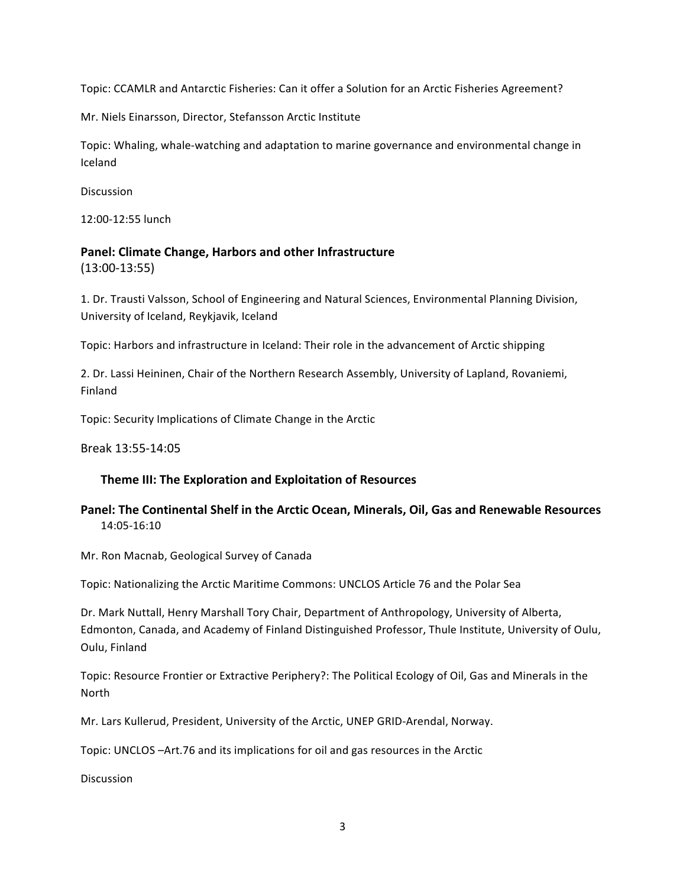Topic: CCAMLR and Antarctic Fisheries: Can it offer a Solution for an Arctic Fisheries Agreement?

Mr.
Niels
Einarsson,
Director,
Stefansson
Arctic
Institute

Topic: Whaling, whale-watching and adaptation to marine governance and environmental change in Iceland

Discussion

12:00‐12:55
lunch

### **Panel:
Climate
Change,
Harbors
and
other
Infrastructure**  (13:00‐13:55)

1.
Dr.
Trausti
Valsson,
School
of
Engineering
and
Natural
Sciences,
Environmental
Planning
Division, University
of
Iceland,
Reykjavik,
Iceland

Topic: Harbors and infrastructure in Iceland: Their role in the advancement of Arctic shipping

2. Dr. Lassi Heininen, Chair of the Northern Research Assembly, University of Lapland, Rovaniemi, Finland

Topic:
Security
Implications
of
Climate
Change
in
the
Arctic

Break
13:55‐14:05

#### **Theme
III:
The
Exploration
and
Exploitation
of
Resources**

### Panel: The Continental Shelf in the Arctic Ocean, Minerals, Oil, Gas and Renewable Resources 14:05‐16:10

Mr.
Ron
Macnab,
Geological
Survey
of
Canada

Topic: Nationalizing the Arctic Maritime Commons: UNCLOS Article 76 and the Polar Sea

Dr. Mark Nuttall, Henry Marshall Tory Chair, Department of Anthropology, University of Alberta, Edmonton,
Canada,
and
Academy
of
Finland
Distinguished
Professor,
Thule
Institute,
University
of
Oulu, Oulu,
Finland

Topic: Resource Frontier or Extractive Periphery?: The Political Ecology of Oil, Gas and Minerals in the North

Mr.
Lars
Kullerud,
President,
University
of
the
Arctic,
UNEP
GRID‐Arendal,
Norway.

Topic: UNCLOS - Art. 76 and its implications for oil and gas resources in the Arctic

**Discussion**